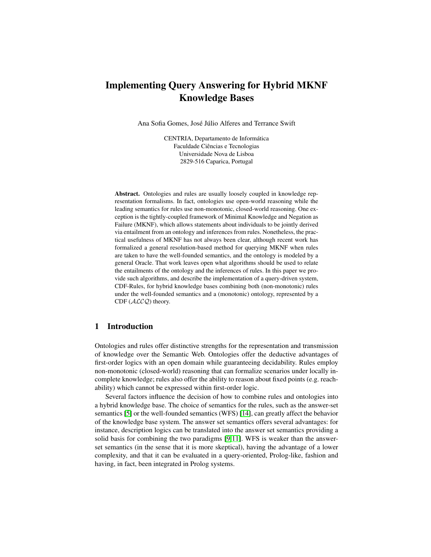# Implementing Query Answering for Hybrid MKNF Knowledge Bases

Ana Sofia Gomes, José Júlio Alferes and Terrance Swift

CENTRIA, Departamento de Informatica ´ Faculdade Ciências e Tecnologias Universidade Nova de Lisboa 2829-516 Caparica, Portugal

Abstract. Ontologies and rules are usually loosely coupled in knowledge representation formalisms. In fact, ontologies use open-world reasoning while the leading semantics for rules use non-monotonic, closed-world reasoning. One exception is the tightly-coupled framework of Minimal Knowledge and Negation as Failure (MKNF), which allows statements about individuals to be jointly derived via entailment from an ontology and inferences from rules. Nonetheless, the practical usefulness of MKNF has not always been clear, although recent work has formalized a general resolution-based method for querying MKNF when rules are taken to have the well-founded semantics, and the ontology is modeled by a general Oracle. That work leaves open what algorithms should be used to relate the entailments of the ontology and the inferences of rules. In this paper we provide such algorithms, and describe the implementation of a query-driven system, CDF-Rules, for hybrid knowledge bases combining both (non-monotonic) rules under the well-founded semantics and a (monotonic) ontology, represented by a CDF  $(ALCQ)$  theory.

## 1 Introduction

Ontologies and rules offer distinctive strengths for the representation and transmission of knowledge over the Semantic Web. Ontologies offer the deductive advantages of first-order logics with an open domain while guaranteeing decidability. Rules employ non-monotonic (closed-world) reasoning that can formalize scenarios under locally incomplete knowledge; rules also offer the ability to reason about fixed points (e.g. reachability) which cannot be expressed within first-order logic.

Several factors influence the decision of how to combine rules and ontologies into a hybrid knowledge base. The choice of semantics for the rules, such as the answer-set semantics [\[5\]](#page-14-0) or the well-founded semantics (WFS) [\[14\]](#page-14-1), can greatly affect the behavior of the knowledge base system. The answer set semantics offers several advantages: for instance, description logics can be translated into the answer set semantics providing a solid basis for combining the two paradigms [\[9,](#page-14-2)[11\]](#page-14-3). WFS is weaker than the answerset semantics (in the sense that it is more skeptical), having the advantage of a lower complexity, and that it can be evaluated in a query-oriented, Prolog-like, fashion and having, in fact, been integrated in Prolog systems.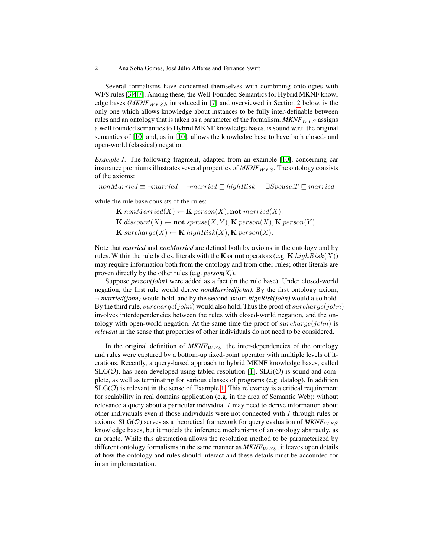#### 2 Ana Sofia Gomes, José Júlio Alferes and Terrance Swift

Several formalisms have concerned themselves with combining ontologies with WFS rules [\[3,](#page-14-4)[4,](#page-14-5)[7\]](#page-14-6). Among these, the Well-Founded Semantics for Hybrid MKNF knowledge bases ( $MKNF_{WFS}$ ), introduced in [\[7\]](#page-14-6) and overviewed in Section [2](#page-2-0) below, is the only one which allows knowledge about instances to be fully inter-definable between rules and an ontology that is taken as a parameter of the formalism.  $MKNF_{WFS}$  assigns a well founded semantics to Hybrid MKNF knowledge bases, is sound w.r.t. the original semantics of [\[10\]](#page-14-7) and, as in [\[10\]](#page-14-7), allows the knowledge base to have both closed- and open-world (classical) negation.

<span id="page-1-0"></span>*Example 1*. The following fragment, adapted from an example [\[10\]](#page-14-7), concerning car insurance premiums illustrates several properties of  $MKNF_{WFS}$ . The ontology consists of the axioms:

nonMarried  $\equiv \neg married \quad \neg married \sqsubseteq highRisk \quad \exists Spouse.T \sqsubseteq married$ 

while the rule base consists of the rules:

 $\mathbf{K}$  non $Married(X) \leftarrow \mathbf{K}$  person $(X)$ , not married $(X)$ .  $\mathbf{K}$  discount $(X) \leftarrow \textbf{not} \; space(X, Y), \mathbf{K} \; person(X), \mathbf{K} \; person(Y).$  $\mathbf{K} \text{ surface}(X) \leftarrow \mathbf{K} \text{ highRisk}(X), \mathbf{K} \text{ person}(X).$ 

Note that *married* and *nonMarried* are defined both by axioms in the ontology and by rules. Within the rule bodies, literals with the **K** or **not** operators (e.g. **K** high  $Risk(X)$ ) may require information both from the ontology and from other rules; other literals are proven directly by the other rules (e.g. *person(X)*).

Suppose *person(john)* were added as a fact (in the rule base). Under closed-world negation, the first rule would derive *nonMarried(john)*. By the first ontology axiom, ¬ *married(john)* would hold, and by the second axiom *highRisk(john)* would also hold. By the third rule,  $sureharge(john)$  would also hold. Thus the proof of  $sureharge(john)$ involves interdependencies between the rules with closed-world negation, and the ontology with open-world negation. At the same time the proof of surcharge(john) is *relevant* in the sense that properties of other individuals do not need to be considered.

In the original definition of  $MKNF_{WFS}$ , the inter-dependencies of the ontology and rules were captured by a bottom-up fixed-point operator with multiple levels of iterations. Recently, a query-based approach to hybrid MKNF knowledge bases, called  $SLG(\mathcal{O})$ , has been developed using tabled resolution [\[1\]](#page-14-8).  $SLG(\mathcal{O})$  is sound and complete, as well as terminating for various classes of programs (e.g. datalog). In addition  $SLG(\mathcal{O})$  is relevant in the sense of Example [1.](#page-1-0) This relevancy is a critical requirement for scalability in real domains application (e.g. in the area of Semantic Web): without relevance a query about a particular individual  $I$  may need to derive information about other individuals even if those individuals were not connected with  $I$  through rules or axioms. SLG( $\mathcal{O}$ ) serves as a theoretical framework for query evaluation of  $MKNF_{WFS}$ knowledge bases, but it models the inference mechanisms of an ontology abstractly, as an oracle. While this abstraction allows the resolution method to be parameterized by different ontology formalisms in the same manner as  $MKNF_{WFS}$ , it leaves open details of how the ontology and rules should interact and these details must be accounted for in an implementation.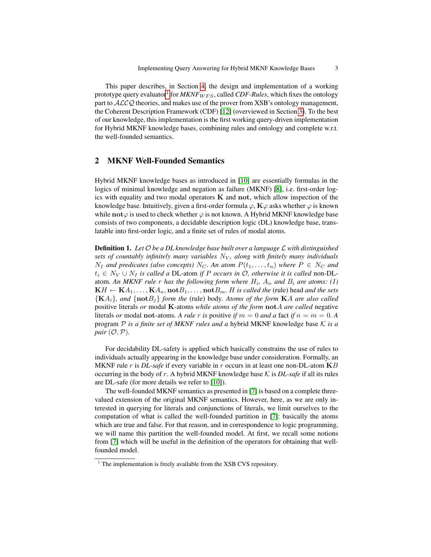This paper describes, in Section [4,](#page-5-0) the design and implementation of a working prototype query evaluator $^1$  $^1$  for  $\mathit{MKNF}_{WFS}$ , called *CDF-Rules*, which fixes the ontology part to  $ALCQ$  theories, and makes use of the prover from XSB's ontology management, the Coherent Description Framework (CDF) [\[12\]](#page-14-9) (overviewed in Section [3\)](#page-4-0). To the best of our knowledge, this implementation is the first working query-driven implementation for Hybrid MKNF knowledge bases, combining rules and ontology and complete w.r.t. the well-founded semantics.

# <span id="page-2-0"></span>2 MKNF Well-Founded Semantics

Hybrid MKNF knowledge bases as introduced in [\[10\]](#page-14-7) are essentially formulas in the logics of minimal knowledge and negation as failure (MKNF) [\[8\]](#page-14-10), i.e. first-order logics with equality and two modal operators K and not, which allow inspection of the knowledge base. Intuitively, given a first-order formula  $\varphi$ ,  $\mathbf{K}\varphi$  asks whether  $\varphi$  is known while not $\varphi$  is used to check whether  $\varphi$  is not known. A Hybrid MKNF knowledge base consists of two components, a decidable description logic (DL) knowledge base, translatable into first-order logic, and a finite set of rules of modal atoms.

Definition 1. *Let* O *be a DL knowledge base built over a language* L *with distinguished sets of countably infinitely many variables*  $N_V$ , along with finitely many individuals  $N_I$  and predicates (also concepts)  $N_C$ . An atom  $P(t_1, \ldots, t_n)$  where  $P \in N_C$  and  $t_i$  ∈  $N_V$   $\cup$   $N_I$  *is called a* DL-atom *if* P *occurs in*  $\mathcal{O}$ *, otherwise it is called* non-DLatom. An MKNF rule r has the following form where  $H_i$ ,  $A_i$ , and  $B_i$  are atoms: (1)  $KH \leftarrow **K**A<sub>1</sub>,...,**K**A<sub>n</sub>,**not**B<sub>1</sub>,...,**not**B<sub>m</sub>. H is called the (rule) head and the sets$  ${K_A}_i$ *, and*  ${\{notB_i\}}$  *form the* (rule) body. Atoms of the form KA are also called positive literals *or* modal K-atoms *while atoms of the form* notA *are called* negative literals *or* modal not-atoms. A rule r is positive if  $m = 0$  and a fact if  $n = m = 0$ . A program  $P$  *is a finite set of MKNF rules and a hybrid MKNF knowledge base K is a pair*  $(\mathcal{O}, \mathcal{P})$ *.* 

For decidability DL-safety is applied which basically constrains the use of rules to individuals actually appearing in the knowledge base under consideration. Formally, an MKNF rule r is *DL-safe* if every variable in r occurs in at least one non-DL-atom KB occurring in the body of r. A hybrid MKNF knowledge base  $K$  is  $DL$ -safe if all its rules are DL-safe (for more details we refer to [\[10\]](#page-14-7)).

The well-founded MKNF semantics as presented in [\[7\]](#page-14-6) is based on a complete threevalued extension of the original MKNF semantics. However, here, as we are only interested in querying for literals and conjunctions of literals, we limit ourselves to the computation of what is called the well-founded partition in [\[7\]](#page-14-6): basically the atoms which are true and false. For that reason, and in correspondence to logic programming, we will name this partition the well-founded model. At first, we recall some notions from [\[7\]](#page-14-6) which will be useful in the definition of the operators for obtaining that wellfounded model.

<span id="page-2-1"></span><sup>&</sup>lt;sup>1</sup> The implementation is freely available from the XSB CVS repository.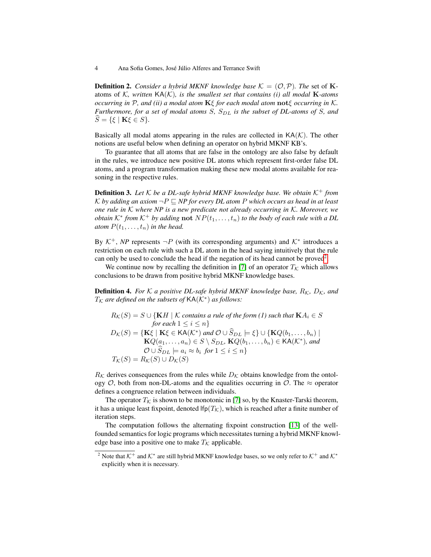**Definition 2.** *Consider a hybrid MKNF knowledge base*  $K = (O, P)$ *. The set of K*atoms of K*, written* KA(K)*, is the smallest set that contains (i) all modal* K*-atoms occurring in* P*, and (ii) a modal atom* Kξ *for each modal atom* notξ *occurring in* K*. Furthermore, for a set of modal atoms S*,  $S_{DL}$  *is the subset of DL-atoms of S*, and  $\widehat{S} = \{\xi \mid \mathbf{K}\xi \in S\}.$ 

Basically all modal atoms appearing in the rules are collected in  $\mathsf{KA}(\mathcal{K})$ . The other notions are useful below when defining an operator on hybrid MKNF KB's.

To guarantee that all atoms that are false in the ontology are also false by default in the rules, we introduce new positive DL atoms which represent first-order false DL atoms, and a program transformation making these new modal atoms available for reasoning in the respective rules.

<span id="page-3-2"></span>**Definition 3.** Let  $K$  be a DL-safe hybrid MKNF knowledge base. We obtain  $K^+$  from K by adding an axiom  $\neg P \sqsubseteq NP$  for every DL atom P which occurs as head in at least *one rule in* K *where NP is a new predicate not already occurring in* K*. Moreover, we*  $obtain \,\mathcal{K}^*$  from  $\mathcal{K}^+$  by adding  $\textbf{not} \;NP(t_1, \ldots, t_n)$  to the body of each rule with a DL *atom*  $P(t_1, \ldots, t_n)$  *in the head.* 

By  $K^+$ , NP represents  $\neg P$  (with its corresponding arguments) and  $K^*$  introduces a restriction on each rule with such a DL atom in the head saying intuitively that the rule can only be used to conclude the head if the negation of its head cannot be proved<sup>[2](#page-3-0)</sup>.

We continue now by recalling the definition in [\[7\]](#page-14-6) of an operator  $T_K$  which allows conclusions to be drawn from positive hybrid MKNF knowledge bases.

<span id="page-3-1"></span>**Definition 4.** For  $K$  a positive DL-safe hybrid MKNF knowledge base,  $R_K$ ,  $D_K$ , and  $T_{\mathcal{K}}$  are defined on the subsets of  $\mathsf{KA}(\mathcal{K}^*)$  as follows:

$$
R_{\mathcal{K}}(S) = S \cup \{ \mathbf{K}H \mid \mathcal{K} \text{ contains a rule of the form (1) such that } \mathbf{K}A_i \in S
$$
  
for each  $1 \le i \le n$ }  

$$
D_{\mathcal{K}}(S) = \{ \mathbf{K}\xi \mid \mathbf{K}\xi \in \mathsf{KA}(\mathcal{K}^*) \text{ and } \mathcal{O} \cup \widehat{S}_{DL} \models \xi \} \cup \{ \mathbf{K}Q(b_1, \dots, b_n) \mid \mathbf{K}Q(a_1, \dots, a_n) \in S \setminus S_{DL}, \mathbf{K}Q(b_1, \dots, b_n) \in \mathsf{KA}(\mathcal{K}^*) \text{, and}
$$
  

$$
\mathcal{O} \cup \widehat{S}_{DL} \models a_i \approx b_i \text{ for } 1 \le i \le n \}
$$
  

$$
T_{\mathcal{K}}(S) = R_{\mathcal{K}}(S) \cup D_{\mathcal{K}}(S)
$$

 $R_K$  derives consequences from the rules while  $D_K$  obtains knowledge from the ontology  $\mathcal{O}$ , both from non-DL-atoms and the equalities occurring in  $\mathcal{O}$ . The  $\approx$  operator defines a congruence relation between individuals.

The operator  $T_{\mathcal{K}}$  is shown to be monotonic in [\[7\]](#page-14-6) so, by the Knaster-Tarski theorem, it has a unique least fixpoint, denoted  $\text{Ifp}(T_{\mathcal{K}})$ , which is reached after a finite number of iteration steps.

The computation follows the alternating fixpoint construction [\[13\]](#page-14-11) of the wellfounded semantics for logic programs which necessitates turning a hybrid MKNF knowledge base into a positive one to make  $T_K$  applicable.

<span id="page-3-0"></span><sup>&</sup>lt;sup>2</sup> Note that  $K^+$  and  $K^*$  are still hybrid MKNF knowledge bases, so we only refer to  $K^+$  and  $K^*$ explicitly when it is necessary.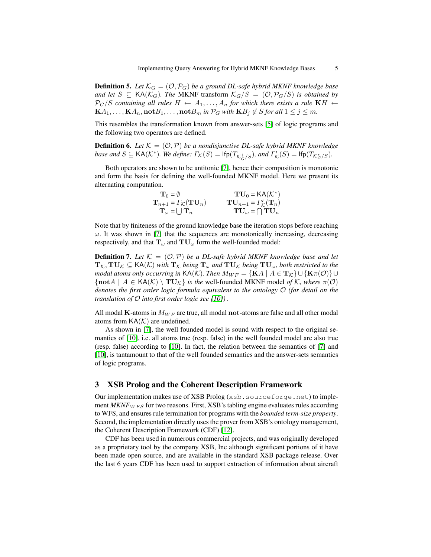**Definition 5.** Let  $\mathcal{K}_G = (\mathcal{O}, \mathcal{P}_G)$  be a ground DL-safe hybrid MKNF knowledge base *and let*  $S \subseteq \text{KA}(\mathcal{K}_G)$ *. The* MKNF transform  $\mathcal{K}_G/S = (\mathcal{O}, \mathcal{P}_G/S)$  *is obtained by*  $\mathcal{P}_G/S$  containing all rules  $H \leftarrow A_1, \ldots, A_n$  for which there exists a rule **K**H  $\leftarrow$  $\mathbf{K}A_1, \ldots, \mathbf{K}A_n, \text{not}B_1, \ldots, \text{not}B_m$  *in*  $\mathcal{P}_G$  *with*  $\mathbf{K}B_j \notin S$  *for all*  $1 \leq j \leq m$ *.* 

This resembles the transformation known from answer-sets [\[5\]](#page-14-0) of logic programs and the following two operators are defined.

**Definition 6.** Let  $K = (O, P)$  be a nondisjunctive DL-safe hybrid MKNF knowledge *base and*  $S \subseteq \textsf{KA}(\mathcal{K}^*)$ . We define:  $\Gamma_{\mathcal{K}}(S) = \textsf{lfp}(T_{\mathcal{K}^+_{G}/S})$ , and  $\Gamma'_{\mathcal{K}}(S) = \textsf{lfp}(T_{\mathcal{K}^*_{G}/S})$ .

Both operators are shown to be antitonic [\[7\]](#page-14-6), hence their composition is monotonic and form the basis for defining the well-founded MKNF model. Here we present its alternating computation.

<span id="page-4-1"></span>

| $\mathbf{T}_0 = \emptyset$                                        | $TU_0 = KA(K^*)$                                                    |
|-------------------------------------------------------------------|---------------------------------------------------------------------|
| $\mathbf{T}_{n+1} = \Gamma_{\mathcal{K}}(\mathbf{T}\mathbf{U}_n)$ | $\mathbf{T} \mathbf{U}_{n+1} = \Gamma_{\mathcal{K}}'(\mathbf{T}_n)$ |
| $\mathbf{T}_{\omega} = \bigcup \mathbf{T}_n$                      | $TU_{\omega} = \bigcap TU_n$                                        |

Note that by finiteness of the ground knowledge base the iteration stops before reaching  $\omega$ . It was shown in [\[7\]](#page-14-6) that the sequences are monotonically increasing, decreasing respectively, and that  $T_{\omega}$  and  $TU_{\omega}$  form the well-founded model:

<span id="page-4-2"></span>**Definition 7.** Let  $K = (\mathcal{O}, \mathcal{P})$  be a DL-safe hybrid MKNF knowledge base and let  $T_K, TU_K \subseteq KA(K)$  with  $T_K$  being  $T_\omega$  and  $TU_K$  being  $TU_\omega$ , both restricted to the *modal atoms only occurring in* KA( $K$ )*. Then*  $M_{WF} = \{KA \mid A \in \mathbf{T}_{K}\} \cup \{K_{\pi}(\mathcal{O})\} \cup$  ${\bf{not}} A \mid A \in {\sf KA}(\mathcal{K}) \setminus {\bf TU}_{\mathcal{K}}$ *is the well-founded MKNF model of K, where*  $\pi(\mathcal{O})$ *denotes the first order logic formula equivalent to the ontology* O *(for detail on the translation of* O *into first order logic see [\[10\]](#page-14-7)) .*

All modal K-atoms in  $M_{WF}$  are true, all modal not-atoms are false and all other modal atoms from  $\mathsf{KA}(\mathcal{K})$  are undefined.

As shown in [\[7\]](#page-14-6), the well founded model is sound with respect to the original semantics of [\[10\]](#page-14-7), i.e. all atoms true (resp. false) in the well founded model are also true (resp. false) according to [\[10\]](#page-14-7). In fact, the relation between the semantics of [\[7\]](#page-14-6) and [\[10\]](#page-14-7), is tantamount to that of the well founded semantics and the answer-sets semantics of logic programs.

### <span id="page-4-0"></span>3 XSB Prolog and the Coherent Description Framework

Our implementation makes use of XSB Prolog (xsb.sourceforge.net) to implement  $MKNF_{WFS}$  for two reasons. First, XSB's tabling engine evaluates rules according to WFS, and ensures rule termination for programs with the *bounded term-size property*. Second, the implementation directly uses the prover from XSB's ontology management, the Coherent Description Framework (CDF) [\[12\]](#page-14-9).

CDF has been used in numerous commercial projects, and was originally developed as a proprietary tool by the company XSB, Inc although significant portions of it have been made open source, and are available in the standard XSB package release. Over the last 6 years CDF has been used to support extraction of information about aircraft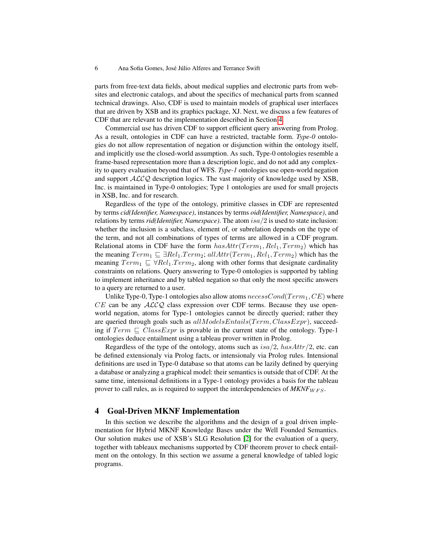parts from free-text data fields, about medical supplies and electronic parts from websites and electronic catalogs, and about the specifics of mechanical parts from scanned technical drawings. Also, CDF is used to maintain models of graphical user interfaces that are driven by XSB and its graphics package, XJ. Next, we discuss a few features of CDF that are relevant to the implementation described in Section [4.](#page-5-0)

Commercial use has driven CDF to support efficient query answering from Prolog. As a result, ontologies in CDF can have a restricted, tractable form. *Type-0* ontologies do not allow representation of negation or disjunction within the ontology itself, and implicitly use the closed-world assumption. As such, Type-0 ontologies resemble a frame-based representation more than a description logic, and do not add any complexity to query evaluation beyond that of WFS. *Type-1* ontologies use open-world negation and support  $\text{ALCQ}$  description logics. The vast majority of knowledge used by XSB, Inc. is maintained in Type-0 ontologies; Type 1 ontologies are used for small projects in XSB, Inc. and for research.

Regardless of the type of the ontology, primitive classes in CDF are represented by terms *cid(Identifier, Namespace)*, instances by terms *oid(Identifier, Namespace)*, and relations by terms *rid(Identifier, Namespace)*. The atom isa/2 is used to state inclusion: whether the inclusion is a subclass, element of, or subrelation depends on the type of the term, and not all combinations of types of terms are allowed in a CDF program. Relational atoms in CDF have the form  $hasAttr(Term_1, Rel_1, Term_2)$  which has the meaning  $Term_1 \sqsubseteq \exists Rel_1.Term_2; allAttr(Term_1, Rel_1, Term_2)$  which has the meaning  $Term_1 \sqsubseteq \forall Rel_1.Term_2$ , along with other forms that designate cardinality constraints on relations. Query answering to Type-0 ontologies is supported by tabling to implement inheritance and by tabled negation so that only the most specific answers to a query are returned to a user.

Unlike Type-0, Type-1 ontologies also allow atoms  $necessaryCond(Term_1, CE)$  where  $CE$  can be any  $ALCQ$  class expression over CDF terms. Because they use openworld negation, atoms for Type-1 ontologies cannot be directly queried; rather they are queried through goals such as  $allModelsEntails(Term, ClassExpr)$ , succeeding if  $Term \subseteq ClassExpr$  is provable in the current state of the ontology. Type-1 ontologies deduce entailment using a tableau prover written in Prolog.

Regardless of the type of the ontology, atoms such as  $isa/2$ ,  $hasAttr/2$ , etc. can be defined extensionaly via Prolog facts, or intensionaly via Prolog rules. Intensional definitions are used in Type-0 database so that atoms can be lazily defined by querying a database or analyzing a graphical model: their semantics is outside that of CDF. At the same time, intensional definitions in a Type-1 ontology provides a basis for the tableau prover to call rules, as is required to support the interdependencies of  $MKNF_{WFS}$ .

### <span id="page-5-0"></span>4 Goal-Driven MKNF Implementation

In this section we describe the algorithms and the design of a goal driven implementation for Hybrid MKNF Knowledge Bases under the Well Founded Semantics. Our solution makes use of XSB's SLG Resolution [\[2\]](#page-14-12) for the evaluation of a query, together with tableaux mechanisms supported by CDF theorem prover to check entailment on the ontology. In this section we assume a general knowledge of tabled logic programs.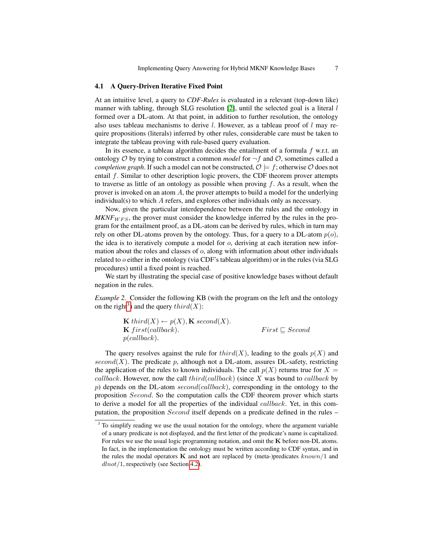### 4.1 A Query-Driven Iterative Fixed Point

At an intuitive level, a query to *CDF-Rules* is evaluated in a relevant (top-down like) manner with tabling, through SLG resolution  $[2]$ , until the selected goal is a literal  $l$ formed over a DL-atom. At that point, in addition to further resolution, the ontology also uses tableau mechanisms to derive l. However, as a tableau proof of l may require propositions (literals) inferred by other rules, considerable care must be taken to integrate the tableau proving with rule-based query evaluation.

In its essence, a tableau algorithm decides the entailment of a formula  $f$  w.r.t. an ontology  $O$  by trying to construct a common *model* for  $\neg f$  and  $O$ , sometimes called a *completion graph*. If such a model can not be constructed,  $\mathcal{O} \models f$ ; otherwise  $\mathcal{O}$  does not entail f. Similar to other description logic provers, the CDF theorem prover attempts to traverse as little of an ontology as possible when proving  $f$ . As a result, when the prover is invoked on an atom A, the prover attempts to build a model for the underlying individual(s) to which A refers, and explores other individuals only as necessary.

Now, given the particular interdependence between the rules and the ontology in  $MKNF_{WFS}$ , the prover must consider the knowledge inferred by the rules in the program for the entailment proof, as a DL-atom can be derived by rules, which in turn may rely on other DL-atoms proven by the ontology. Thus, for a query to a DL-atom  $p(o)$ , the idea is to iteratively compute a model for  $o$ , deriving at each iteration new information about the roles and classes of o, along with information about other individuals related to o either in the ontology (via CDF's tableau algorithm) or in the rules (via SLG procedures) until a fixed point is reached.

We start by illustrating the special case of positive knowledge bases without default negation in the rules.

*Example 2.* Consider the following KB (with the program on the left and the ontology on the right<sup>[3](#page-6-0)</sup>) and the query  $third(X)$ :

> <span id="page-6-1"></span> $\mathbf{K}$  third(X)  $\leftarrow p(X), \mathbf{K}$  second(X). **K** first(callback). First  $\subseteq$  Second p(callback).

The query resolves against the rule for  $third(X)$ , leading to the goals  $p(X)$  and second(X). The predicate p, although not a DL-atom, assures DL-safety, restricting the application of the rules to known individuals. The call  $p(X)$  returns true for  $X =$ callback. However, now the call  $third(callback)$  (since X was bound to callback by  $p)$  depends on the DL-atom  $second(callback)$ , corresponding in the ontology to the proposition Second. So the computation calls the CDF theorem prover which starts to derive a model for all the properties of the individual callback. Yet, in this computation, the proposition Second itself depends on a predicate defined in the rules –

<span id="page-6-0"></span><sup>&</sup>lt;sup>3</sup> To simplify reading we use the usual notation for the ontology, where the argument variable of a unary predicate is not displayed, and the first letter of the predicate's name is capitalized. For rules we use the usual logic programming notation, and omit the K before non-DL atoms. In fact, in the implementation the ontology must be written according to CDF syntax, and in the rules the modal operators  $\bf{K}$  and not are replaced by (meta-)predicates known/1 and  $dlnot/1$ , respectively (see Section [4.2\)](#page-9-0).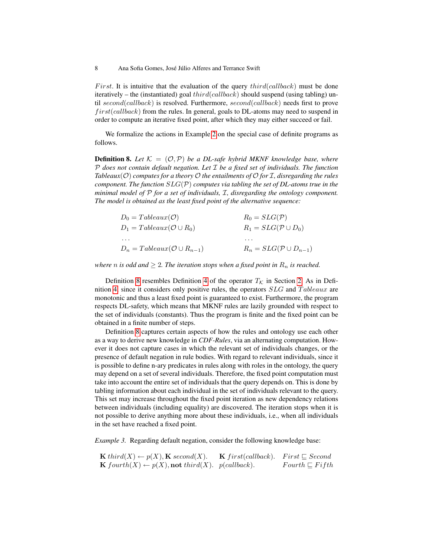*First.* It is intuitive that the evaluation of the query  $third(callback)$  must be done iteratively – the (instantiated) goal  $third(callback)$  should suspend (using tabling) until second(callback) is resolved. Furthermore, second(callback) needs first to prove  $first(callback)$  from the rules. In general, goals to DL-atoms may need to suspend in order to compute an iterative fixed point, after which they may either succeed or fail.

We formalize the actions in Example [2](#page-6-1) on the special case of definite programs as follows.

<span id="page-7-0"></span>**Definition 8.** Let  $K = (\mathcal{O}, \mathcal{P})$  be a DL-safe hybrid MKNF knowledge base, where P *does not contain default negation. Let* I *be a fixed set of individuals. The function Tableaux*(O) *computes for a theory* O *the entailments of* O *for* I*, disregarding the rules component. The function* SLG(P) *computes via tabling the set of DL-atoms true in the minimal model of* P *for a set of individuals,* I*, disregarding the ontology component. The model is obtained as the least fixed point of the alternative sequence:*

| $D_0 = Tableaux(\mathcal{O})$              | $R_0 = SLG(\mathcal{P})$              |
|--------------------------------------------|---------------------------------------|
| $D_1 = Tableaux(\mathcal{O} \cup R_0)$     | $R_1 = SLG(\mathcal{P} \cup D_0)$     |
| $\cdots$                                   | $\cdots$                              |
| $D_n = Tableaux(\mathcal{O} \cup R_{n-1})$ | $R_n = SLG(\mathcal{P} \cup D_{n-1})$ |

*where n* is odd and  $\geq 2$ . The iteration stops when a fixed point in  $R_n$  is reached.

Definition [8](#page-7-0) resembles Definition [4](#page-3-1) of the operator  $T<sub>K</sub>$  in Section [2.](#page-2-0) As in Defi-nition [4,](#page-3-1) since it considers only positive rules, the operators SLG and Tableaux are monotonic and thus a least fixed point is guaranteed to exist. Furthermore, the program respects DL-safety, which means that MKNF rules are lazily grounded with respect to the set of individuals (constants). Thus the program is finite and the fixed point can be obtained in a finite number of steps.

Definition [8](#page-7-0) captures certain aspects of how the rules and ontology use each other as a way to derive new knowledge in *CDF-Rules*, via an alternating computation. However it does not capture cases in which the relevant set of individuals changes, or the presence of default negation in rule bodies. With regard to relevant individuals, since it is possible to define n-ary predicates in rules along with roles in the ontology, the query may depend on a set of several individuals. Therefore, the fixed point computation must take into account the entire set of individuals that the query depends on. This is done by tabling information about each individual in the set of individuals relevant to the query. This set may increase throughout the fixed point iteration as new dependency relations between individuals (including equality) are discovered. The iteration stops when it is not possible to derive anything more about these individuals, i.e., when all individuals in the set have reached a fixed point.

<span id="page-7-1"></span>*Example 3.* Regarding default negation, consider the following knowledge base:

**K** third(X) 
$$
\leftarrow
$$
 p(X), **K** second(X). **K** first(callback). First  $\sqsubseteq$  Second  
**K** fourth(X)  $\leftarrow$  p(X), **not** third(X). p(callback). *Fourth*  $\sqsubseteq$  Fifth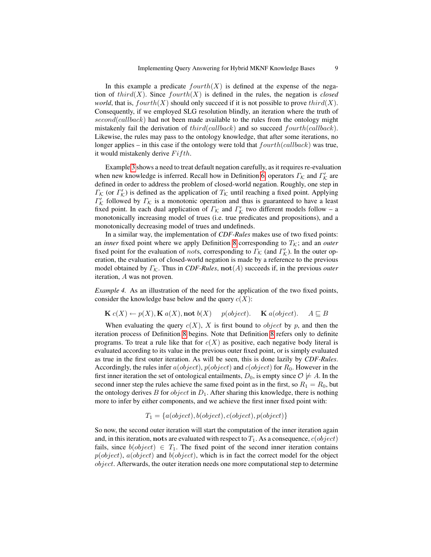In this example a predicate  $fourth(X)$  is defined at the expense of the negation of third(X). Since  $fourth(X)$  is defined in the rules, the negation is *closed world*, that is,  $fourth(X)$  should only succeed if it is not possible to prove third(X). Consequently, if we employed SLG resolution blindly, an iteration where the truth of second(callback) had not been made available to the rules from the ontology might mistakenly fail the derivation of  $third(callback)$  and so succeed  $fourth(callback)$ . Likewise, the rules may pass to the ontology knowledge, that after some iterations, no longer applies – in this case if the ontology were told that  $fourth(callback)$  was true, it would mistakenly derive  $F *if*th$ .

Example [3](#page-7-1) shows a need to treat default negation carefully, as it requires re-evaluation when new knowledge is inferred. Recall how in Definition [6,](#page-4-1) operators  $\Gamma_{\mathcal{K}}$  and  $\Gamma_{\mathcal{K}}'$  are defined in order to address the problem of closed-world negation. Roughly, one step in  $\Gamma_{\mathcal{K}}$  (or  $\Gamma_{\mathcal{K}}'$ ) is defined as the application of  $T_{\mathcal{K}}$  until reaching a fixed point. Applying  $\Gamma_{\mathcal{K}}'$  followed by  $\Gamma_{\mathcal{K}}$  is a monotonic operation and thus is guaranteed to have a least fixed point. In each dual application of  $\Gamma_{\mathcal{K}}$  and  $\Gamma'_{\mathcal{K}}$  two different models follow – a monotonically increasing model of trues (i.e. true predicates and propositions), and a monotonically decreasing model of trues and undefineds.

In a similar way, the implementation of *CDF-Rules* makes use of two fixed points: an *inner* fixed point where we apply Definition [8](#page-7-0) corresponding to  $T<sub>K</sub>$ ; and an *outer* fixed point for the evaluation of *nots*, corresponding to  $\Gamma_{\mathcal{K}}$  (and  $\Gamma_{\mathcal{K}}'$ ). In the outer operation, the evaluation of closed-world negation is made by a reference to the previous model obtained by  $\Gamma_K$ . Thus in *CDF-Rules*, **not**(*A*) succeeds if, in the previous *outer* iteration, A was not proven.

<span id="page-8-0"></span>*Example 4.* As an illustration of the need for the application of the two fixed points, consider the knowledge base below and the query  $c(X)$ :

$$
\mathbf{K} c(X) \leftarrow p(X), \mathbf{K} a(X), \text{not } b(X) \quad p(object). \quad \mathbf{K} a(object). \quad A \sqsubseteq B
$$

When evaluating the query  $c(X)$ , X is first bound to *object* by p, and then the iteration process of Definition [8](#page-7-0) begins. Note that Definition [8](#page-7-0) refers only to definite programs. To treat a rule like that for  $c(X)$  as positive, each negative body literal is evaluated according to its value in the previous outer fixed point, or is simply evaluated as true in the first outer iteration. As will be seen, this is done lazily by *CDF-Rules*. Accordingly, the rules infer  $a(object)$ ,  $p(object)$  and  $c(object)$  for  $R_0$ . However in the first inner iteration the set of ontological entailments,  $D_0$ , is empty since  $\mathcal{O} \not\models A$ . In the second inner step the rules achieve the same fixed point as in the first, so  $R_1 = R_0$ , but the ontology derives B for *object* in  $D_1$ . After sharing this knowledge, there is nothing more to infer by either components, and we achieve the first inner fixed point with:

$$
T_1 = \{a(object), b(object), c(object), p(object)\}
$$

So now, the second outer iteration will start the computation of the inner iteration again and, in this iteration, nots are evaluated with respect to  $T_1$ . As a consequence,  $c(object)$ fails, since  $b(object) \in T_1$ . The fixed point of the second inner iteration contains  $p(object)$ ,  $a(object)$  and  $b(object)$ , which is in fact the correct model for the object object. Afterwards, the outer iteration needs one more computational step to determine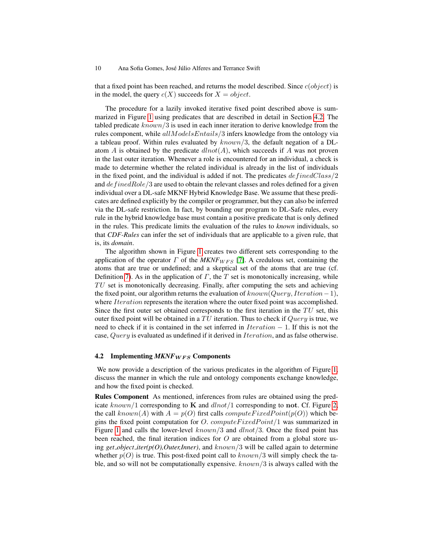that a fixed point has been reached, and returns the model described. Since  $c(object)$  is in the model, the query  $c(X)$  succeeds for  $X = object$ .

The procedure for a lazily invoked iterative fixed point described above is summarized in Figure [1](#page-10-0) using predicates that are described in detail in Section [4.2.](#page-9-0) The tabled predicate known/3 is used in each inner iteration to derive knowledge from the rules component, while  $allModelsEntails/3$  infers knowledge from the ontology via a tableau proof. Within rules evaluated by  $known/3$ , the default negation of a DLatom A is obtained by the predicate  $dlnot(A)$ , which succeeds if A was not proven in the last outer iteration. Whenever a role is encountered for an individual, a check is made to determine whether the related individual is already in the list of individuals in the fixed point, and the individual is added if not. The predicates  $defindClass/2$ and  $definedRole/3$  are used to obtain the relevant classes and roles defined for a given individual over a DL-safe MKNF Hybrid Knowledge Base. We assume that these predicates are defined explicitly by the compiler or programmer, but they can also be inferred via the DL-safe restriction. In fact, by bounding our program to DL-Safe rules, every rule in the hybrid knowledge base must contain a positive predicate that is only defined in the rules. This predicate limits the evaluation of the rules to *known* individuals, so that *CDF-Rules* can infer the set of individuals that are applicable to a given rule, that is, its *domain*.

The algorithm shown in Figure [1](#page-10-0) creates two different sets corresponding to the application of the operator  $\Gamma$  of the  $MKNF_{WFS}$  [\[7\]](#page-14-6). A credulous set, containing the atoms that are true or undefined; and a skeptical set of the atoms that are true (cf. Definition [7\)](#page-4-2). As in the application of  $\Gamma$ , the  $T$  set is monotonically increasing, while  $TU$  set is monotonically decreasing. Finally, after computing the sets and achieving the fixed point, our algorithm returns the evaluation of  $known(Query, Iteration-1)$ , where *Iteration* represents the iteration where the outer fixed point was accomplished. Since the first outer set obtained corresponds to the first iteration in the  $TU$  set, this outer fixed point will be obtained in a TU iteration. Thus to check if  $Query$  is true, we need to check if it is contained in the set inferred in  $Iteration - 1$ . If this is not the case, Query is evaluated as undefined if it derived in Iteration, and as false otherwise.

#### <span id="page-9-0"></span>4.2 Implementing *MKNF<sub>WFS</sub>* Components

We now provide a description of the various predicates in the algorithm of Figure [1,](#page-10-0) discuss the manner in which the rule and ontology components exchange knowledge, and how the fixed point is checked.

Rules Component As mentioned, inferences from rules are obtained using the predicate  $known/1$  corresponding to K and  $dlnot/1$  corresponding to not. Cf. Figure [2,](#page-11-0) the call known(A) with  $A = p(O)$  first calls compute Fixed Point( $p(O)$ ) which begins the fixed point computation for  $O$ . *computeFixedPoint*/1 was summarized in Figure [1](#page-10-0) and calls the lower-level  $known/3$  and  $dlnot/3$ . Once the fixed point has been reached, the final iteration indices for  $O$  are obtained from a global store using *get object iter(p(O),Outer,Inner)*, and known/3 will be called again to determine whether  $p(O)$  is true. This post-fixed point call to  $known/3$  will simply check the table, and so will not be computationally expensive.  $known/3$  is always called with the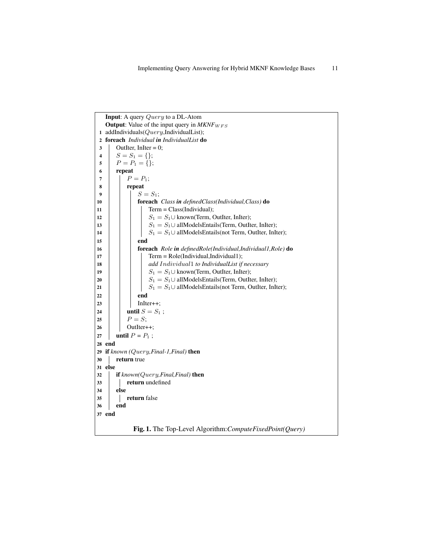<span id="page-10-0"></span>

|         | <b>Input:</b> A query $Query$ to a DL-Atom                    |  |
|---------|---------------------------------------------------------------|--|
|         | <b>Output:</b> Value of the input query in $MKNF_{WFS}$       |  |
|         | 1 addIndividuals( $Query$ ,IndividualList);                   |  |
|         | 2 foreach Individual in IndividualList do                     |  |
| 3       | OutIter, InIter = $0$ ;                                       |  |
| 4       | $S = S_1 = \{\};$                                             |  |
| 5       | $P = P_1 = \{\};$                                             |  |
| 6       | repeat                                                        |  |
| 7       | $P = P_1$ ;                                                   |  |
| 8       | repeat                                                        |  |
| 9       | $S = S_1;$                                                    |  |
| 10      | foreach Class in definedClass(Individual,Class) do            |  |
| 11      | $Term = Class(Individual);$                                   |  |
| 12      | $S_1 = S_1 \cup$ known(Term, OutIter, InIter);                |  |
| 13      | $S_1 = S_1 \cup$ allModelsEntails (Term, OutIter, InIter);    |  |
| 14      | $S_1 = S_1 \cup$ allModelsEntails(not Term, OutIter, InIter); |  |
| 15      | end                                                           |  |
| 16      | foreach Role in definedRole(Individual,Individual1,Role) do   |  |
| 17      | $Term = Role(Individual, Individual1);$                       |  |
| 18      | add Individual1 to IndividualList if necessary                |  |
| 19      | $S_1 = S_1 \cup$ known(Term, OutIter, InIter);                |  |
| 20      | $S_1 = S_1 \cup$ allModelsEntails(Term, OutIter, InIter);     |  |
| 21      | $S_1 = S_1 \cup$ allModelsEntails(not Term, OutIter, InIter); |  |
| 22      | end                                                           |  |
| 23      | $InIter++;$                                                   |  |
| 24      | until $S = S_1$ ;                                             |  |
| 25      | $P = S;$                                                      |  |
| 26      | OutIter++;                                                    |  |
| 27      | until $P = P_1$ ;                                             |  |
| 28 end  |                                                               |  |
| 29      | if known $(Query, Final-1, Final)$ then                       |  |
| 30      | return true                                                   |  |
| 31 else |                                                               |  |
| 32      | if $known(Query, Final, Final)$ then                          |  |
| 33      | return undefined                                              |  |
| 34      | else                                                          |  |
| 35      | return false                                                  |  |
| 36      | end                                                           |  |
| 37 end  |                                                               |  |
|         |                                                               |  |
|         | Fig. 1. The Top-Level Algorithm: ComputeFixedPoint(Query)     |  |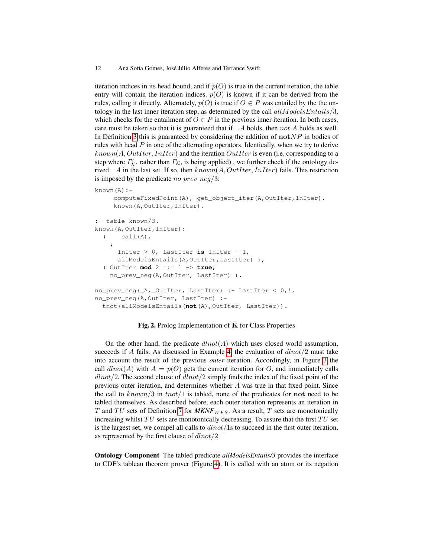iteration indices in its head bound, and if  $p(O)$  is true in the current iteration, the table entry will contain the iteration indices.  $p(O)$  is known if it can be derived from the rules, calling it directly. Alternately,  $p(O)$  is true if  $O \in P$  was entailed by the the ontology in the last inner iteration step, as determined by the call  $allModels entails/3$ , which checks for the entailment of  $O \in P$  in the previous inner iteration. In both cases, care must be taken so that it is guaranteed that if  $\neg A$  holds, then not A holds as well. In Definition [3](#page-3-2) this is guaranteed by considering the addition of  $\text{not} NP$  in bodies of rules with head  $P$  in one of the alternating operators. Identically, when we try to derive  $known(A, OutIter, InIter)$  and the iteration  $OutIter$  is even (i.e. corresponding to a step where  $\Gamma_{\mathcal{K}}'$ , rather than  $\Gamma_{\mathcal{K}}$ , is being applied), we further check if the ontology derived  $\neg A$  in the last set. If so, then  $known(A, OutIter, InIter)$  fails. This restriction is imposed by the predicate  $no\_prev\_neg/3$ :

```
known(A):
```

```
computeFixedPoint(A), get_object_iter(A,OutIter,InIter),
     known(A, OutIter, InIter).
:- table known/3.
known(A, OutIter, InIter) :-
  \left(\begin{array}{cc} \text{call}(A), \end{array}\right);
      InIter > 0, LastIter is InIter - 1,
      allModelsEntails(A, OutIter, LastIter)),
  ( OutIter mod 2 =:= 1 -> true;
    no_prev_neg(A,OutIter, LastIter) ).
no_prev_neg(_A,_OutIter, LastIter) :- LastIter < 0,!.
no_prev_neg(A,OutIter, LastIter) :-
  tnot(allModelsEntails(not(A),OutIter, LastIter)).
```
### <span id="page-11-0"></span>Fig. 2. Prolog Implementation of K for Class Properties

On the other hand, the predicate  $dnot(A)$  which uses closed world assumption, succeeds if A fails. As discussed in Example [4,](#page-8-0) the evaluation of  $dlnat/2$  must take into account the result of the previous *outer* iteration. Accordingly, in Figure [3](#page-12-0) the call  $dnot(A)$  with  $A = p(O)$  gets the current iteration for O, and immediately calls  $dln\left(\frac{d}{2}\right)$ . The second clause of  $dln\left(\frac{d}{2}\right)$  simply finds the index of the fixed point of the previous outer iteration, and determines whether A was true in that fixed point. Since the call to  $known/3$  in  $tnot/1$  is tabled, none of the predicates for not need to be tabled themselves. As described before, each outer iteration represents an iteration in T and TU sets of Definition [7](#page-4-2) for  $MKNF_{WFS}$ . As a result, T sets are monotonically increasing whilst  $TU$  sets are monotonically decreasing. To assure that the first  $TU$  set is the largest set, we compel all calls to  $dnot/1s$  to succeed in the first outer iteration, as represented by the first clause of dlnot/2.

Ontology Component The tabled predicate *allModelsEntails/3* provides the interface to CDF's tableau theorem prover (Figure [4\)](#page-12-1). It is called with an atom or its negation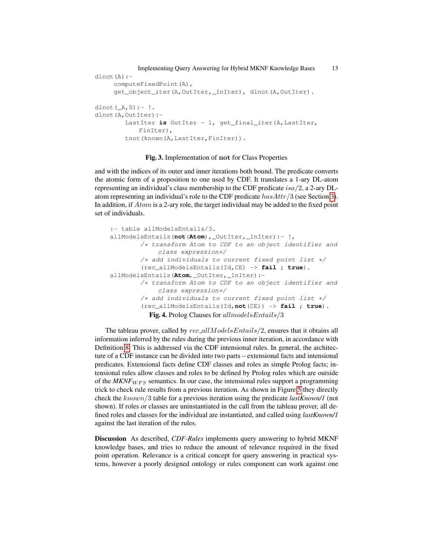Implementing Query Answering for Hybrid MKNF Knowledge Bases 13

```
dlnot(A):-
     computeFixedPoint(A),
     get_object_iter(A,OutIter,_InIter), dlnot(A,OutIter).
dlnot(\_A, 0) : - !.
dlnot(A,OutIter):-
        LastIter is OutIter - 1, get final iter(A, LastIter,
            FinIter),
        tnot(known(A,LastIter,FinIter)).
```
### <span id="page-12-0"></span>Fig. 3. Implementation of not for Class Properties

and with the indices of its outer and inner iterations both bound. The predicate converts the atomic form of a proposition to one used by CDF. It translates a 1-ary DL-atom representing an individual's class membership to the CDF predicate isa/2, a 2-ary DLatom representing an individual's role to the CDF predicate  $hasAttr/3$  (see Section [3\)](#page-4-0). In addition, if Atom is a 2-ary role, the target individual may be added to the fixed point set of individuals.

```
:- table allModelsEntails/3.
allModelsEntails(not(Atom),_OutIter,_InIter):- !,
        /* transform Atom to CDF to an object identifier and
             class expression*/
        /* add individuals to current fixed point list */
        (rec_allModelsEntails(Id,CE) -> fail ; true).
allModelsEntails(Atom,_OutIter,_InIter):-
        /* transform Atom to CDF to an object identifier and
             class expression*/
        /* add individuals to current fixed point list */(rec_allModelsEntails(Id,not(CE)) -> fail ; true).
          Fig. 4. Prolog Clauses for allmodelsEntails/3
```
<span id="page-12-1"></span>The tableau prover, called by  $rec\_allModelsEntails/2$ , ensures that it obtains all information inferred by the rules during the previous inner iteration, in accordance with Definition [8.](#page-7-0) This is addressed via the CDF intensional rules. In general, the architecture of a CDF instance can be divided into two parts – extensional facts and intensional predicates. Extensional facts define CDF classes and roles as simple Prolog facts; intensional rules allow classes and roles to be defined by Prolog rules which are outside of the  $MKNF_{WFS}$  semantics. In our case, the intensional rules support a programming trick to check rule results from a previous iteration. As shown in Figure [5](#page-13-0) they directly check the known/3 table for a previous iteration using the predicate *lastKnown/1* (not shown). If roles or classes are uninstantiated in the call from the tableau prover, all defined roles and classes for the individual are instantiated, and called using *lastKnown/1* against the last iteration of the rules.

Discussion As described, *CDF-Rules* implements query answering to hybrid MKNF knowledge bases, and tries to reduce the amount of relevance required in the fixed point operation. Relevance is a critical concept for query answering in practical systems, however a poorly designed ontology or rules component can work against one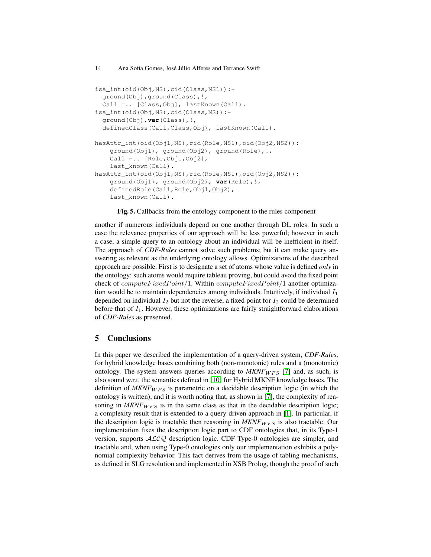#### 14 Ana Sofia Gomes, José Júlio Alferes and Terrance Swift

```
isa_int(oid(Obj,NS),cid(Class,NS1)):-
  ground(Obj),ground(Class),!,
  Call =.. [Class, Obj], lastKnown(Call).
isa_int(oid(Obj,NS),cid(Class,NS)):-
  ground(Obj),var(Class),!,
  definedClass(Call,Class,Obj), lastKnown(Call).
hasAttr_int(oid(Obj1,NS),rid(Role,NS1),oid(Obj2,NS2)):-
    ground(Obj1), ground(Obj2), ground(Role),!,
    Call =.. [Role,Obj1,Obj2],
    last_known(Call).
hasAttr_int(oid(Obj1,NS),rid(Role,NS1),oid(Obj2,NS2)):-
    ground(Obj1), ground(Obj2), var(Role),!,
    definedRole(Call,Role,Obj1,Obj2),
    last_known(Call).
```
<span id="page-13-0"></span>Fig. 5. Callbacks from the ontology component to the rules component

another if numerous individuals depend on one another through DL roles. In such a case the relevance properties of our approach will be less powerful; however in such a case, a simple query to an ontology about an individual will be inefficient in itself. The approach of *CDF-Rules* cannot solve such problems; but it can make query answering as relevant as the underlying ontology allows. Optimizations of the described approach are possible. First is to designate a set of atoms whose value is defined *only* in the ontology: such atoms would require tableau proving, but could avoid the fixed point check of  $computeFixedPoint/1$ . Within  $computeFixedPoint/1$  another optimization would be to maintain dependencies among individuals. Intuitively, if individual  $I_1$ depended on individual  $I_2$  but not the reverse, a fixed point for  $I_2$  could be determined before that of  $I_1$ . However, these optimizations are fairly straightforward elaborations of *CDF-Rules* as presented.

# 5 Conclusions

In this paper we described the implementation of a query-driven system, *CDF-Rules*, for hybrid knowledge bases combining both (non-monotonic) rules and a (monotonic) ontology. The system answers queries according to  $MKNF_{WFS}$  [\[7\]](#page-14-6) and, as such, is also sound w.r.t. the semantics defined in [\[10\]](#page-14-7) for Hybrid MKNF knowledge bases. The definition of  $MKNF_{WFS}$  is parametric on a decidable description logic (in which the ontology is written), and it is worth noting that, as shown in [\[7\]](#page-14-6), the complexity of reasoning in  $MKNF_{WFS}$  is in the same class as that in the decidable description logic; a complexity result that is extended to a query-driven approach in [\[1\]](#page-14-8). In particular, if the description logic is tractable then reasoning in  $MKNF_{WFS}$  is also tractable. Our implementation fixes the description logic part to CDF ontologies that, in its Type-1 version, supports ALCQ description logic. CDF Type-0 ontologies are simpler, and tractable and, when using Type-0 ontologies only our implementation exhibits a polynomial complexity behavior. This fact derives from the usage of tabling mechanisms, as defined in SLG resolution and implemented in XSB Prolog, though the proof of such